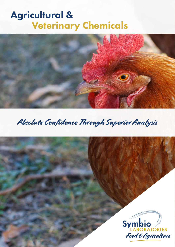# Agricultural & Veterinary Chemicals



## Absolute Confidence Through Superior Analysis